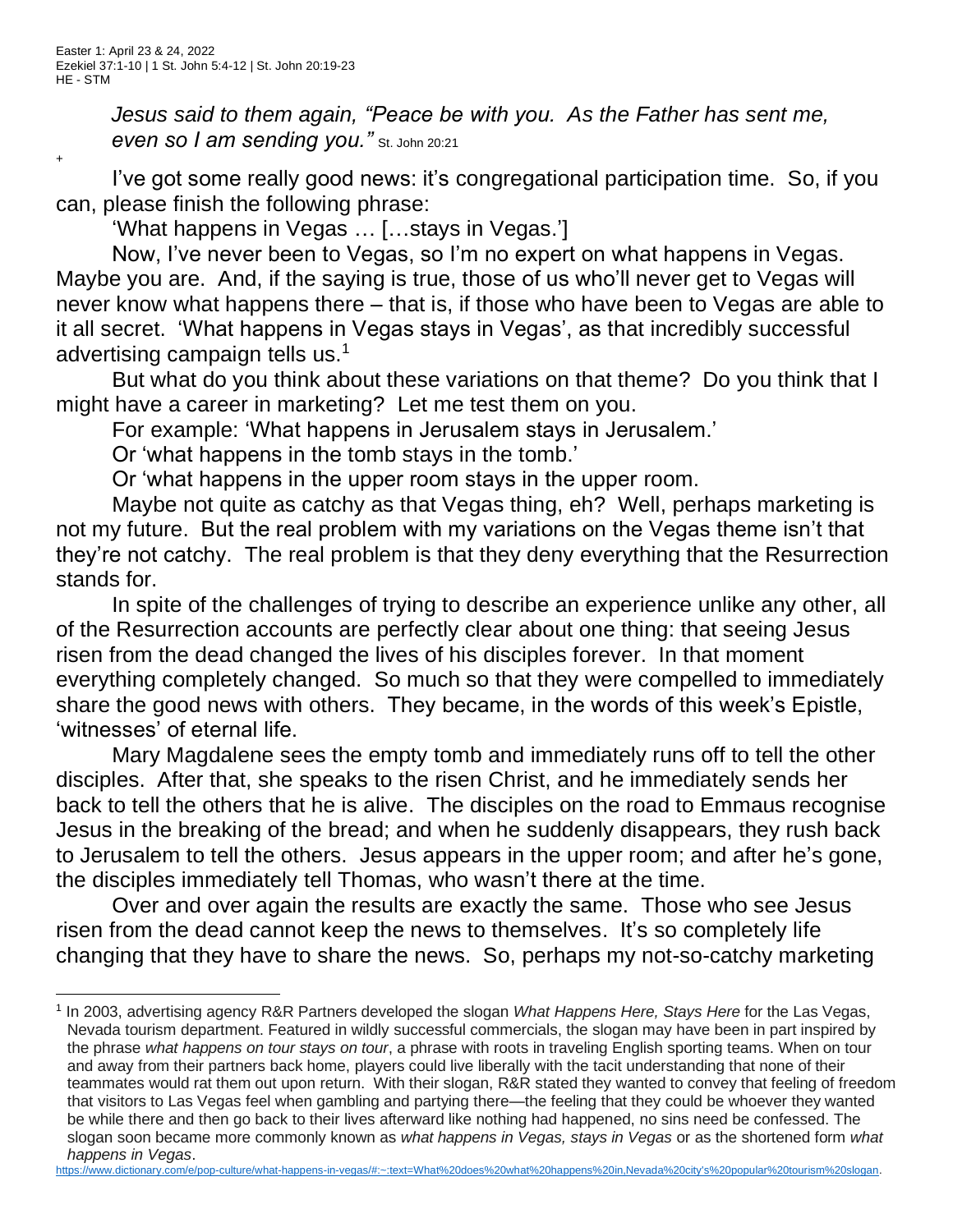+

*Jesus said to them again, "Peace be with you. As the Father has sent me,*  **even so I am sending you.**" St. John 20:21

I've got some really good news: it's congregational participation time. So, if you can, please finish the following phrase:

'What happens in Vegas … […stays in Vegas.']

Now, I've never been to Vegas, so I'm no expert on what happens in Vegas. Maybe you are. And, if the saying is true, those of us who'll never get to Vegas will never know what happens there – that is, if those who have been to Vegas are able to it all secret. 'What happens in Vegas stays in Vegas', as that incredibly successful advertising campaign tells us.<sup>1</sup>

But what do you think about these variations on that theme? Do you think that I might have a career in marketing? Let me test them on you.

For example: 'What happens in Jerusalem stays in Jerusalem.'

Or 'what happens in the tomb stays in the tomb.'

Or 'what happens in the upper room stays in the upper room.

Maybe not quite as catchy as that Vegas thing, eh? Well, perhaps marketing is not my future. But the real problem with my variations on the Vegas theme isn't that they're not catchy. The real problem is that they deny everything that the Resurrection stands for.

In spite of the challenges of trying to describe an experience unlike any other, all of the Resurrection accounts are perfectly clear about one thing: that seeing Jesus risen from the dead changed the lives of his disciples forever. In that moment everything completely changed. So much so that they were compelled to immediately share the good news with others. They became, in the words of this week's Epistle, 'witnesses' of eternal life.

Mary Magdalene sees the empty tomb and immediately runs off to tell the other disciples. After that, she speaks to the risen Christ, and he immediately sends her back to tell the others that he is alive. The disciples on the road to Emmaus recognise Jesus in the breaking of the bread; and when he suddenly disappears, they rush back to Jerusalem to tell the others. Jesus appears in the upper room; and after he's gone, the disciples immediately tell Thomas, who wasn't there at the time.

Over and over again the results are exactly the same. Those who see Jesus risen from the dead cannot keep the news to themselves. It's so completely life changing that they have to share the news. So, perhaps my not-so-catchy marketing

[https://www.dictionary.com/e/pop-culture/what-happens-in-vegas/#:~:text=What%20does%20what%20happens%20in,Nevada%20city's%20popular%20tourism%20slogan.](https://www.dictionary.com/e/pop-culture/what-happens-in-vegas/#:~:text=What%20does%20what%20happens%20in,Nevada%20city)

<sup>1</sup> In 2003, advertising agency R&R Partners developed the slogan *What Happens Here, Stays Here* for the Las Vegas, Nevada tourism department. Featured in wildly successful commercials, the slogan may have been in part inspired by the phrase *what happens on tour stays on tour*, a phrase with roots in traveling English sporting teams. When on tour and away from their partners back home, players could live liberally with the tacit understanding that none of their teammates would rat them out upon return. With their slogan, R&R stated they wanted to convey that feeling of freedom that visitors to Las Vegas feel when gambling and partying there—the feeling that they could be whoever they wanted be while there and then go back to their lives afterward like nothing had happened, no sins need be confessed. The slogan soon became more commonly known as *what happens in Vegas, stays in Vegas* or as the shortened form *what happens in Vegas*.